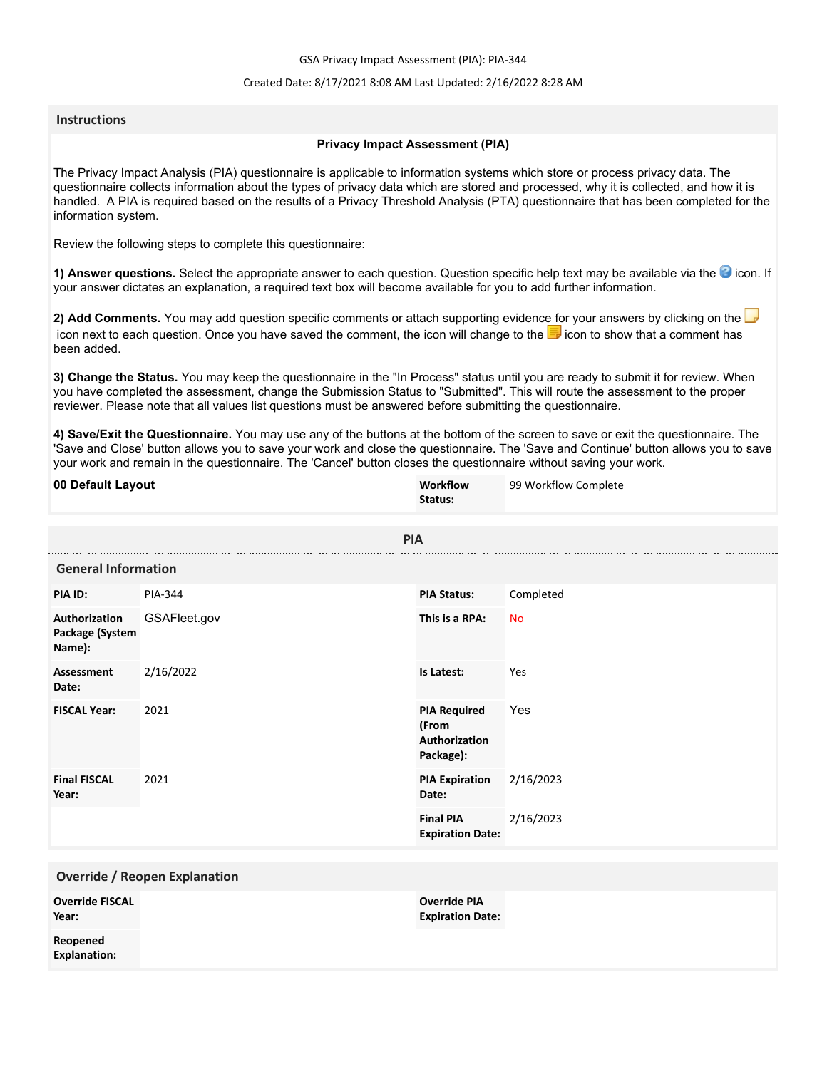GSA Privacy Impact Assessment (PIA): PIA-344

### Created Date: 8/17/2021 8:08 AM Last Updated: 2/16/2022 8:28 AM

### **Instructions**

#### **Privacy Impact Assessment (PIA)**

The Privacy Impact Analysis (PIA) questionnaire is applicable to information systems which store or process privacy data. The questionnaire collects information about the types of privacy data which are stored and processed, why it is collected, and how it is handled. A PIA is required based on the results of a Privacy Threshold Analysis (PTA) questionnaire that has been completed for the information system.

Review the following steps to complete this questionnaire:

1) Answer questions. Select the appropriate answer to each question. Question specific help text may be available via the <sup>3</sup> icon. If your answer dictates an explanation, a required text box will become available for you to add further information.

**2) Add Comments.** You may add question specific comments or attach supporting evidence for your answers by clicking on the icon next to each question. Once you have saved the comment, the icon will change to the **i** icon to show that a comment has been added.

**3) Change the Status.** You may keep the questionnaire in the "In Process" status until you are ready to submit it for review. When you have completed the assessment, change the Submission Status to "Submitted". This will route the assessment to the proper reviewer. Please note that all values list questions must be answered before submitting the questionnaire.

**4) Save/Exit the Questionnaire.** You may use any of the buttons at the bottom of the screen to save or exit the questionnaire. The 'Save and Close' button allows you to save your work and close the questionnaire. The 'Save and Continue' button allows you to save your work and remain in the questionnaire. The 'Cancel' button closes the questionnaire without saving your work.

| 00 Default Layout                          |                                      | Workflow<br>Status:                                        | 99 Workflow Complete |
|--------------------------------------------|--------------------------------------|------------------------------------------------------------|----------------------|
|                                            | <b>PIA</b>                           |                                                            |                      |
| <b>General Information</b>                 |                                      |                                                            |                      |
| PIA ID:                                    | PIA-344                              | <b>PIA Status:</b>                                         | Completed            |
| Authorization<br>Package (System<br>Name): | GSAFleet.gov                         | This is a RPA:                                             | <b>No</b>            |
| <b>Assessment</b><br>Date:                 | 2/16/2022                            | Is Latest:                                                 | Yes                  |
| <b>FISCAL Year:</b>                        | 2021                                 | <b>PIA Required</b><br>(From<br>Authorization<br>Package): | Yes                  |
| <b>Final FISCAL</b><br>Year:               | 2021                                 | <b>PIA Expiration</b><br>Date:                             | 2/16/2023            |
|                                            |                                      | <b>Final PIA</b><br><b>Expiration Date:</b>                | 2/16/2023            |
|                                            | <b>Override / Reopen Explanation</b> |                                                            |                      |
| <b>Override FISCAL</b><br>Year:            |                                      | <b>Override PIA</b><br><b>Expiration Date:</b>             |                      |
| Reopened<br><b>Explanation:</b>            |                                      |                                                            |                      |
|                                            |                                      |                                                            |                      |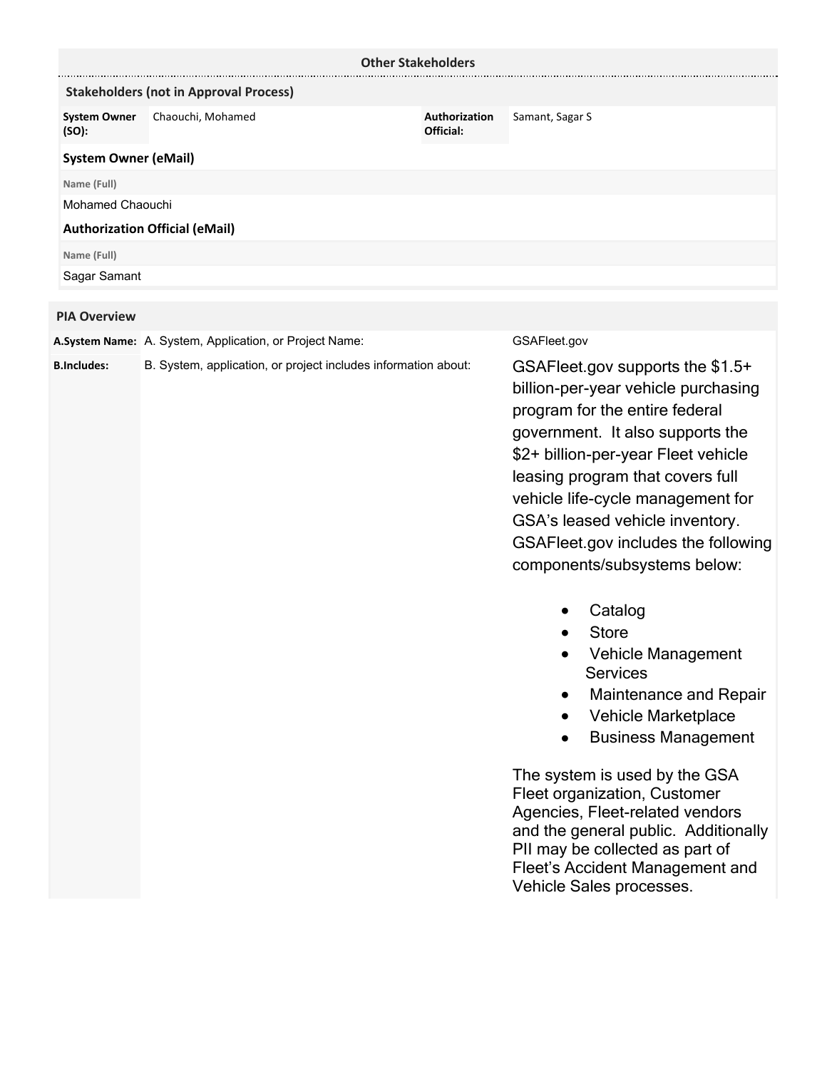| <b>Other Stakeholders</b>    |                                               |                            |                 |  |  |
|------------------------------|-----------------------------------------------|----------------------------|-----------------|--|--|
|                              | <b>Stakeholders (not in Approval Process)</b> |                            |                 |  |  |
| <b>System Owner</b><br>(SO): | Chaouchi, Mohamed                             | Authorization<br>Official: | Samant, Sagar S |  |  |
| <b>System Owner (eMail)</b>  |                                               |                            |                 |  |  |
| Name (Full)                  |                                               |                            |                 |  |  |
|                              | Mohamed Chaouchi                              |                            |                 |  |  |
|                              | <b>Authorization Official (eMail)</b>         |                            |                 |  |  |
| Name (Full)                  |                                               |                            |                 |  |  |
| Sagar Samant                 |                                               |                            |                 |  |  |
|                              |                                               |                            |                 |  |  |
| <b>PIA Overview</b>          |                                               |                            |                 |  |  |

**A.System Name:** A. System, Application, or Project Name: GSAFleet.gov

**B.Includes:** B. System, application, or project includes information about:

GSAFleet.gov supports the \$1.5+ billion-per-year vehicle purchasing program for the entire federal government. It also supports the \$2+ billion-per-year Fleet vehicle leasing program that covers full vehicle life-cycle management for GSA's leased vehicle inventory. GSAFleet.gov includes the following components/subsystems below:

- · Catalog
- · Store
- · Vehicle Management **Services**
- · Maintenance and Repair
- · Vehicle Marketplace
- · Business Management

The system is used by the GSA Fleet organization, Customer Agencies, Fleet-related vendors and the general public. Additionally PII may be collected as part of Fleet's Accident Management and Vehicle Sales processes.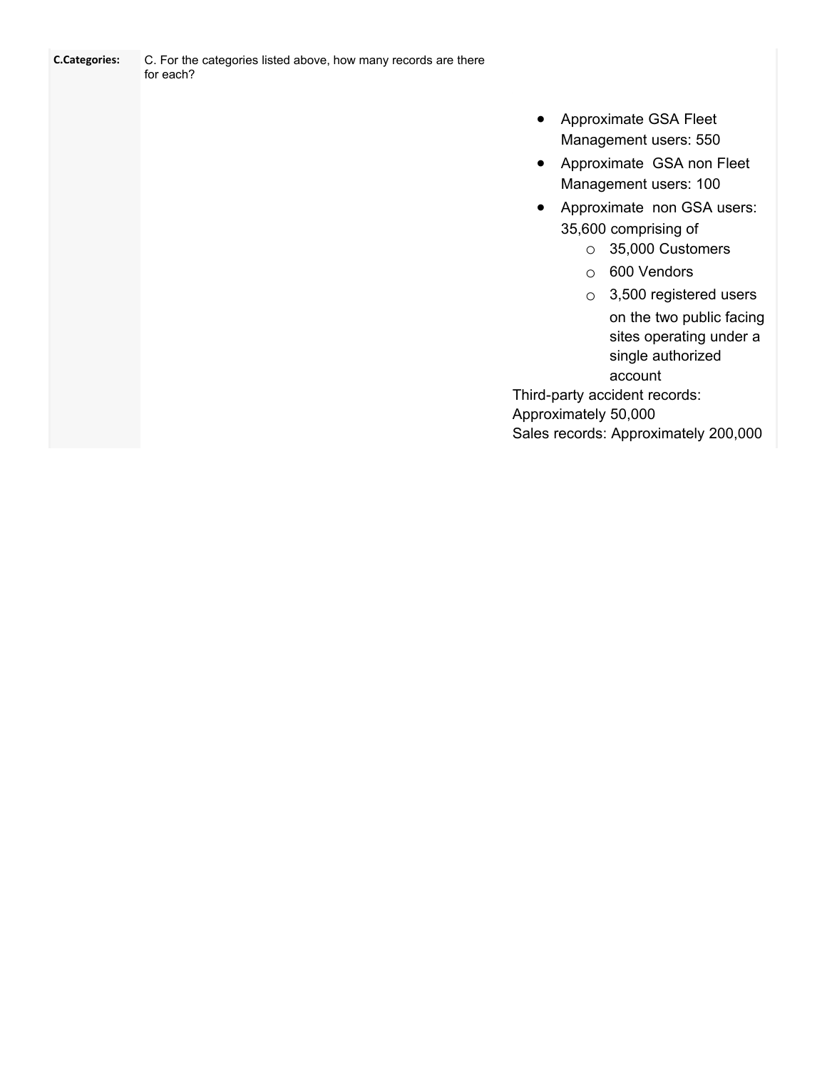| <b>C.Categories:</b> | C. For the categories listed above, how many records are there |
|----------------------|----------------------------------------------------------------|
|                      | for each?                                                      |

- · Approximate GSA Fleet Management users: 550
- · Approximate GSA non Fleet Management users: 100
- · Approximate non GSA users: 35,600 comprising of
	- o 35,000 Customers
	- o 600 Vendors
	- o 3,500 registered users on the two public facing sites operating under a single authorized account

Third-party accident records: Approximately 50,000

Sales records: Approximately 200,000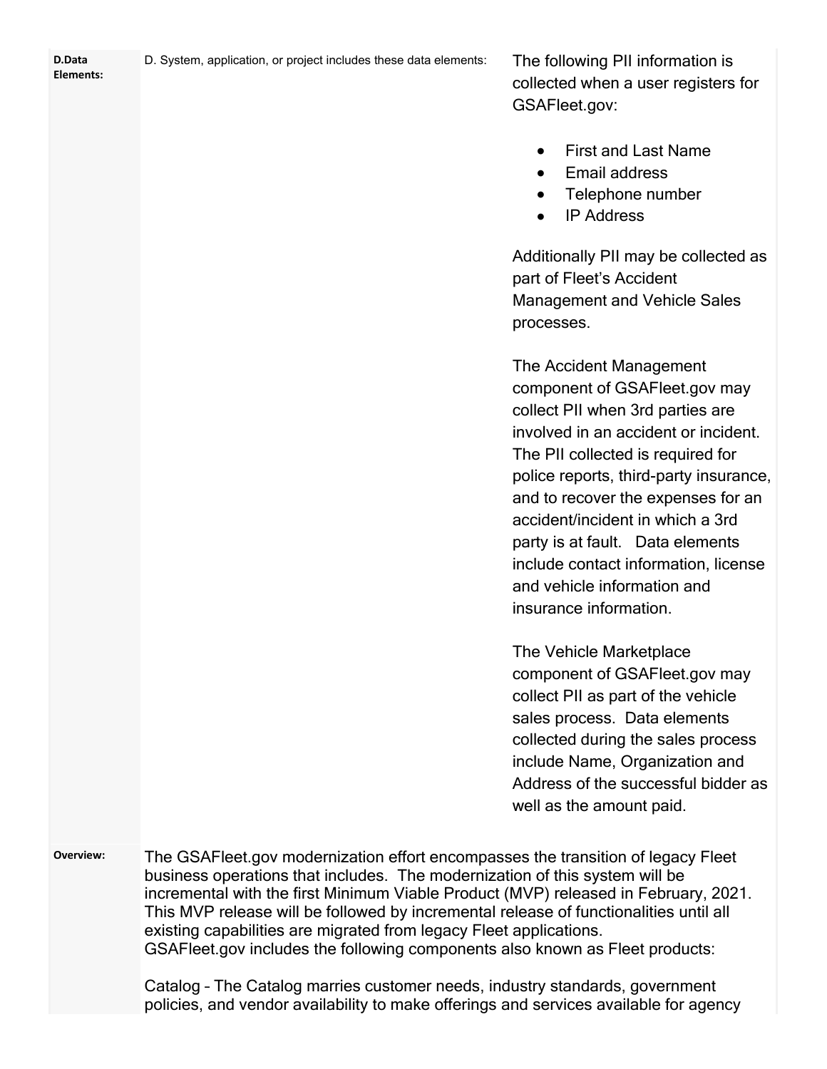| D.Data<br>Elements: | D. System, application, or project includes these data elements:                                                                                                                                                                                                                                                                                                                                                                                                                                      | The following PII information is<br>collected when a user registers for<br>GSAFleet.gov:                                                                                                                                                                                                                                                                                                                                           |
|---------------------|-------------------------------------------------------------------------------------------------------------------------------------------------------------------------------------------------------------------------------------------------------------------------------------------------------------------------------------------------------------------------------------------------------------------------------------------------------------------------------------------------------|------------------------------------------------------------------------------------------------------------------------------------------------------------------------------------------------------------------------------------------------------------------------------------------------------------------------------------------------------------------------------------------------------------------------------------|
|                     |                                                                                                                                                                                                                                                                                                                                                                                                                                                                                                       | <b>First and Last Name</b><br>Email address<br>Telephone number<br><b>IP Address</b><br>$\bullet$                                                                                                                                                                                                                                                                                                                                  |
|                     |                                                                                                                                                                                                                                                                                                                                                                                                                                                                                                       | Additionally PII may be collected as<br>part of Fleet's Accident<br><b>Management and Vehicle Sales</b><br>processes.                                                                                                                                                                                                                                                                                                              |
|                     |                                                                                                                                                                                                                                                                                                                                                                                                                                                                                                       | The Accident Management<br>component of GSAFleet.gov may<br>collect PII when 3rd parties are<br>involved in an accident or incident.<br>The PII collected is required for<br>police reports, third-party insurance,<br>and to recover the expenses for an<br>accident/incident in which a 3rd<br>party is at fault. Data elements<br>include contact information, license<br>and vehicle information and<br>insurance information. |
|                     |                                                                                                                                                                                                                                                                                                                                                                                                                                                                                                       | The Vehicle Marketplace<br>component of GSAFleet.gov may<br>collect PII as part of the vehicle<br>sales process. Data elements<br>collected during the sales process<br>include Name, Organization and<br>Address of the successful bidder as<br>well as the amount paid.                                                                                                                                                          |
| Overview:           | The GSAFleet gov modernization effort encompasses the transition of legacy Fleet<br>business operations that includes. The modernization of this system will be<br>incremental with the first Minimum Viable Product (MVP) released in February, 2021.<br>This MVP release will be followed by incremental release of functionalities until all<br>existing capabilities are migrated from legacy Fleet applications.<br>GSAFleet gov includes the following components also known as Fleet products: |                                                                                                                                                                                                                                                                                                                                                                                                                                    |

Catalog – The Catalog marries customer needs, industry standards, government policies, and vendor availability to make offerings and services available for agency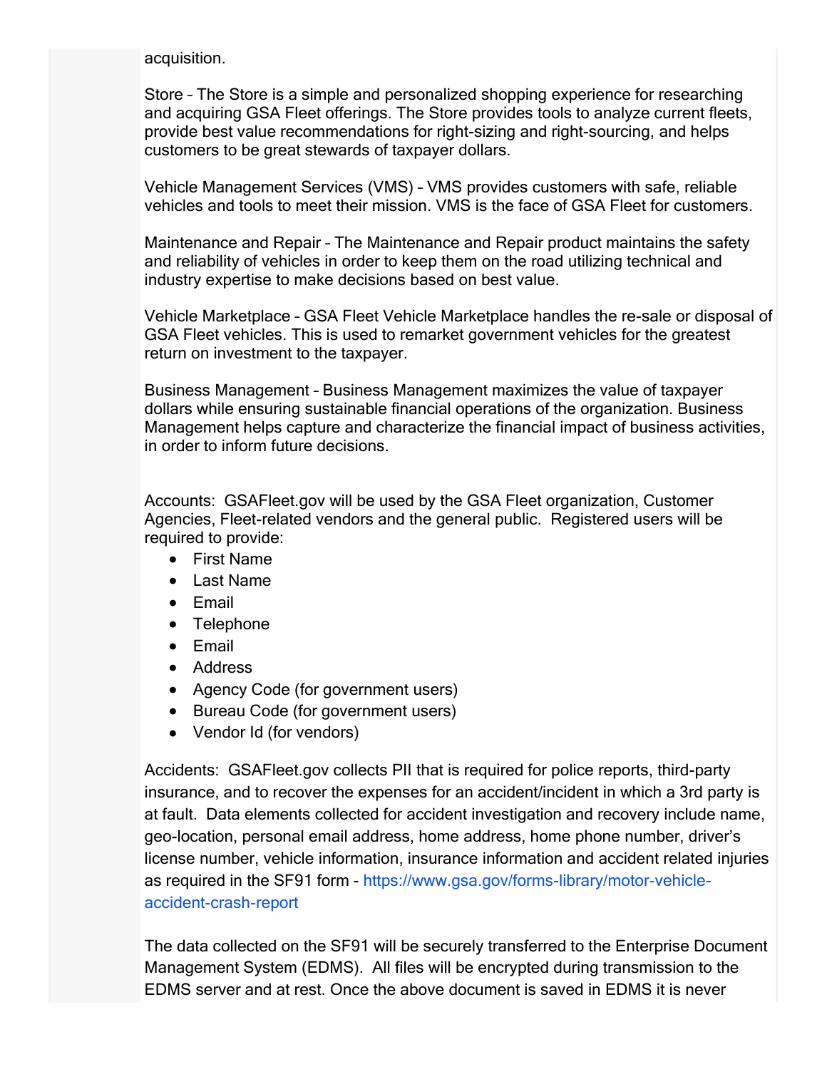acquisition.

Store – The Store is a simple and personalized shopping experience for researching and acquiring GSA Fleet offerings. The Store provides tools to analyze current fleets, provide best value recommendations for right-sizing and right-sourcing, and helps customers to be great stewards of taxpayer dollars.

Vehicle Management Services (VMS) – VMS provides customers with safe, reliable vehicles and tools to meet their mission. VMS is the face of GSA Fleet for customers.

Maintenance and Repair – The Maintenance and Repair product maintains the safety and reliability of vehicles in order to keep them on the road utilizing technical and industry expertise to make decisions based on best value.

Vehicle Marketplace – GSA Fleet Vehicle Marketplace handles the re-sale or disposal of GSA Fleet vehicles. This is used to remarket government vehicles for the greatest return on investment to the taxpayer.

Business Management – Business Management maximizes the value of taxpayer dollars while ensuring sustainable financial operations of the organization. Business Management helps capture and characterize the financial impact of business activities, in order to inform future decisions.

Accounts: GSAFleet.gov will be used by the GSA Fleet organization, Customer Agencies, Fleet-related vendors and the general public. Registered users will be required to provide:

- · First Name
- · Last Name
- · Email
- · Telephone
- · Email
- Address
- Agency Code (for government users)
- · Bureau Code (for government users)
- Vendor Id (for vendors)

Accidents: GSAFleet.gov collects PII that is required for police reports, third-party insurance, and to recover the expenses for an accident/incident in which a 3rd party is at fault. Data elements collected for accident investigation and recovery include name, geo-location, personal email address, home address, home phone number, driver's license number, vehicle information, insurance information and accident related injuries as required in the SF91 form - https://www.gsa.gov/forms-library/motor-vehicleaccident-crash-report

The data collected on the SF91 will be securely transferred to the Enterprise Document Management System (EDMS). All files will be encrypted during transmission to the EDMS server and at rest. Once the above document is saved in EDMS it is never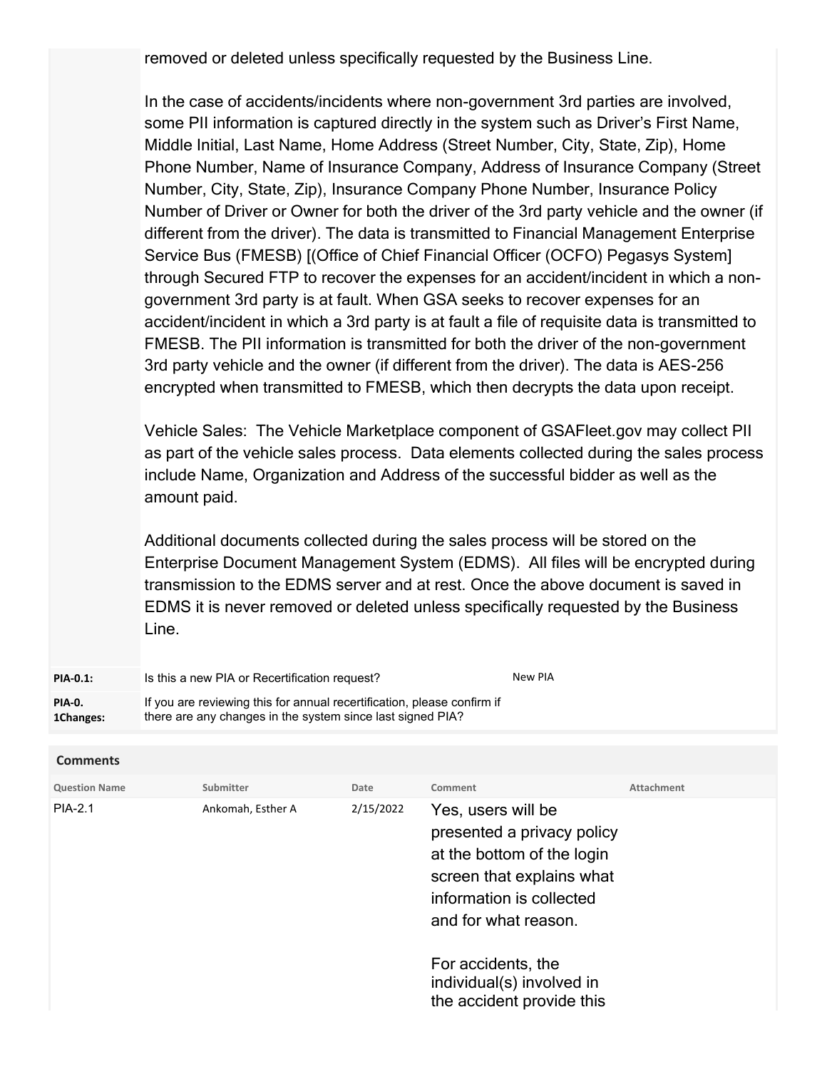removed or deleted unless specifically requested by the Business Line.

In the case of accidents/incidents where non-government 3rd parties are involved, some PII information is captured directly in the system such as Driver's First Name, Middle Initial, Last Name, Home Address (Street Number, City, State, Zip), Home Phone Number, Name of Insurance Company, Address of Insurance Company (Street Number, City, State, Zip), Insurance Company Phone Number, Insurance Policy Number of Driver or Owner for both the driver of the 3rd party vehicle and the owner (if different from the driver). The data is transmitted to Financial Management Enterprise Service Bus (FMESB) [(Office of Chief Financial Officer (OCFO) Pegasys System] through Secured FTP to recover the expenses for an accident/incident in which a nongovernment 3rd party is at fault. When GSA seeks to recover expenses for an accident/incident in which a 3rd party is at fault a file of requisite data is transmitted to FMESB. The PII information is transmitted for both the driver of the non-government 3rd party vehicle and the owner (if different from the driver). The data is AES-256 encrypted when transmitted to FMESB, which then decrypts the data upon receipt.

Vehicle Sales: The Vehicle Marketplace component of GSAFleet.gov may collect PII as part of the vehicle sales process. Data elements collected during the sales process include Name, Organization and Address of the successful bidder as well as the amount paid.

Additional documents collected during the sales process will be stored on the Enterprise Document Management System (EDMS). All files will be encrypted during transmission to the EDMS server and at rest. Once the above document is saved in EDMS it is never removed or deleted unless specifically requested by the Business Line.

| <b>PIA-0.1:</b>     | Is this a new PIA or Recertification request?                                                                                         | New PIA |
|---------------------|---------------------------------------------------------------------------------------------------------------------------------------|---------|
| PIA-0.<br>1Changes: | If you are reviewing this for annual recertification, please confirm if<br>there are any changes in the system since last signed PIA? |         |

| <b>Comments</b>      |                   |           |                                                                                                                                                                                                                                                 |            |
|----------------------|-------------------|-----------|-------------------------------------------------------------------------------------------------------------------------------------------------------------------------------------------------------------------------------------------------|------------|
| <b>Question Name</b> | Submitter         | Date      | Comment                                                                                                                                                                                                                                         | Attachment |
| <b>PIA-2.1</b>       | Ankomah, Esther A | 2/15/2022 | Yes, users will be<br>presented a privacy policy<br>at the bottom of the login<br>screen that explains what<br>information is collected<br>and for what reason.<br>For accidents, the<br>individual(s) involved in<br>the accident provide this |            |
|                      |                   |           |                                                                                                                                                                                                                                                 |            |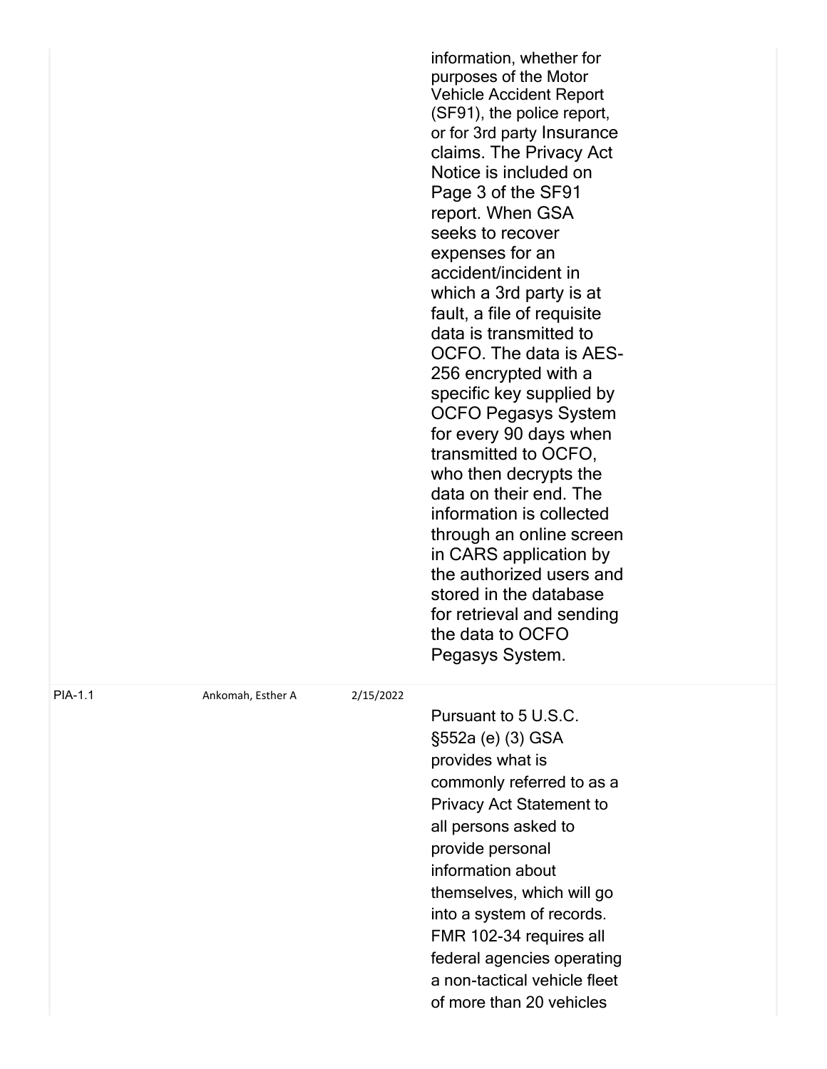|         |                   |           | information, whether for<br>purposes of the Motor<br><b>Vehicle Accident Report</b><br>(SF91), the police report,<br>or for 3rd party Insurance<br>claims. The Privacy Act<br>Notice is included on<br>Page 3 of the SF91<br>report. When GSA<br>seeks to recover<br>expenses for an<br>accident/incident in<br>which a 3rd party is at<br>fault, a file of requisite<br>data is transmitted to<br>OCFO. The data is AES-<br>256 encrypted with a<br>specific key supplied by<br><b>OCFO Pegasys System</b><br>for every 90 days when<br>transmitted to OCFO,<br>who then decrypts the<br>data on their end. The<br>information is collected<br>through an online screen<br>in CARS application by<br>the authorized users and<br>stored in the database<br>for retrieval and sending<br>the data to OCFO<br>Pegasys System. |
|---------|-------------------|-----------|------------------------------------------------------------------------------------------------------------------------------------------------------------------------------------------------------------------------------------------------------------------------------------------------------------------------------------------------------------------------------------------------------------------------------------------------------------------------------------------------------------------------------------------------------------------------------------------------------------------------------------------------------------------------------------------------------------------------------------------------------------------------------------------------------------------------------|
| PIA-1.1 | Ankomah, Esther A | 2/15/2022 | Pursuant to 5 U.S.C.<br>§552a (e) (3) GSA<br>provides what is<br>commonly referred to as a<br><b>Privacy Act Statement to</b><br>all persons asked to<br>provide personal<br>information about<br>themselves, which will go<br>into a system of records.<br>FMR 102-34 requires all<br>federal agencies operating<br>a non-tactical vehicle fleet<br>of more than 20 vehicles                                                                                                                                                                                                                                                                                                                                                                                                                                                |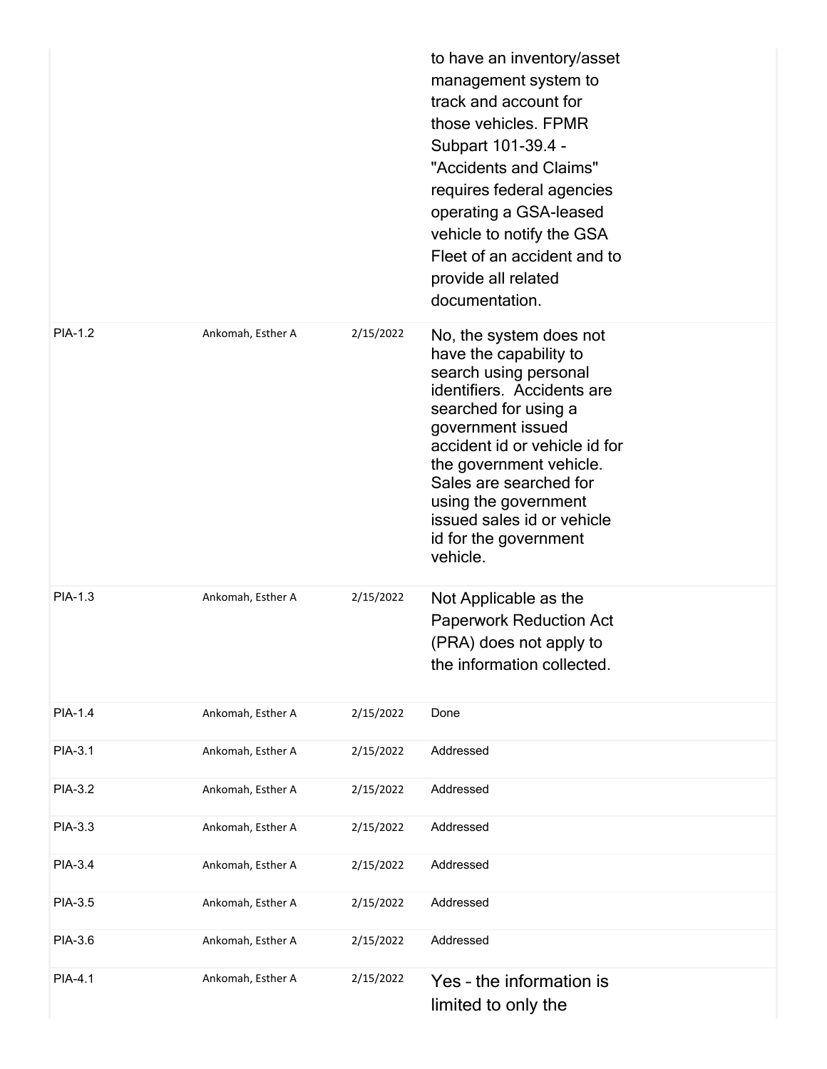|         |                   |           | to have an inventory/asset<br>management system to<br>track and account for<br>those vehicles. FPMR<br>Subpart 101-39.4 -<br>"Accidents and Claims"<br>requires federal agencies<br>operating a GSA-leased<br>vehicle to notify the GSA<br>Fleet of an accident and to<br>provide all related<br>documentation.                        |
|---------|-------------------|-----------|----------------------------------------------------------------------------------------------------------------------------------------------------------------------------------------------------------------------------------------------------------------------------------------------------------------------------------------|
| PIA-1.2 | Ankomah, Esther A | 2/15/2022 | No, the system does not<br>have the capability to<br>search using personal<br>identifiers. Accidents are<br>searched for using a<br>government issued<br>accident id or vehicle id for<br>the government vehicle.<br>Sales are searched for<br>using the government<br>issued sales id or vehicle<br>id for the government<br>vehicle. |
| PIA-1.3 | Ankomah, Esther A | 2/15/2022 | Not Applicable as the<br><b>Paperwork Reduction Act</b><br>(PRA) does not apply to<br>the information collected.                                                                                                                                                                                                                       |
| PIA-1.4 | Ankomah, Esther A | 2/15/2022 | Done                                                                                                                                                                                                                                                                                                                                   |
| PIA-3.1 | Ankomah, Esther A | 2/15/2022 | Addressed                                                                                                                                                                                                                                                                                                                              |
| PIA-3.2 | Ankomah, Esther A | 2/15/2022 | Addressed                                                                                                                                                                                                                                                                                                                              |
| PIA-3.3 | Ankomah, Esther A | 2/15/2022 | Addressed                                                                                                                                                                                                                                                                                                                              |
| PIA-3.4 | Ankomah, Esther A | 2/15/2022 | Addressed                                                                                                                                                                                                                                                                                                                              |
| PIA-3.5 | Ankomah, Esther A | 2/15/2022 | Addressed                                                                                                                                                                                                                                                                                                                              |
| PIA-3.6 | Ankomah, Esther A | 2/15/2022 | Addressed                                                                                                                                                                                                                                                                                                                              |
| PIA-4.1 | Ankomah, Esther A | 2/15/2022 | Yes - the information is<br>limited to only the                                                                                                                                                                                                                                                                                        |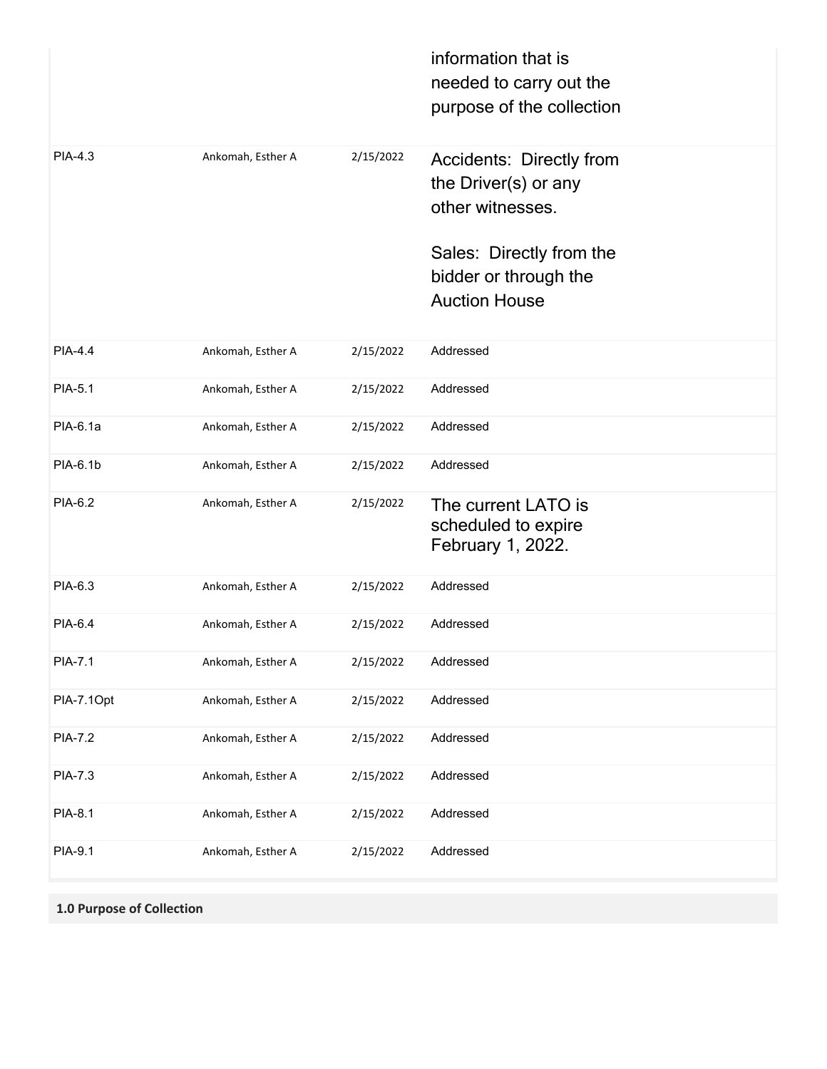|                |                   |           | information that is<br>needed to carry out the<br>purpose of the collection |
|----------------|-------------------|-----------|-----------------------------------------------------------------------------|
| PIA-4.3        | Ankomah, Esther A | 2/15/2022 | <b>Accidents: Directly from</b><br>the Driver(s) or any<br>other witnesses. |
|                |                   |           | Sales: Directly from the<br>bidder or through the<br><b>Auction House</b>   |
| <b>PIA-4.4</b> | Ankomah, Esther A | 2/15/2022 | Addressed                                                                   |
| PIA-5.1        | Ankomah, Esther A | 2/15/2022 | Addressed                                                                   |
| PIA-6.1a       | Ankomah, Esther A | 2/15/2022 | Addressed                                                                   |
| PIA-6.1b       | Ankomah, Esther A | 2/15/2022 | Addressed                                                                   |
| PIA-6.2        | Ankomah, Esther A | 2/15/2022 | The current LATO is<br>scheduled to expire<br>February 1, 2022.             |
| PIA-6.3        | Ankomah, Esther A | 2/15/2022 | Addressed                                                                   |
| PIA-6.4        | Ankomah, Esther A | 2/15/2022 | Addressed                                                                   |
| PIA-7.1        | Ankomah, Esther A | 2/15/2022 | Addressed                                                                   |
| PIA-7.1Opt     | Ankomah, Esther A | 2/15/2022 | Addressed                                                                   |
| PIA-7.2        | Ankomah, Esther A | 2/15/2022 | Addressed                                                                   |
| PIA-7.3        | Ankomah, Esther A | 2/15/2022 | Addressed                                                                   |
| PIA-8.1        | Ankomah, Esther A | 2/15/2022 | Addressed                                                                   |
| PIA-9.1        | Ankomah, Esther A | 2/15/2022 | Addressed                                                                   |

**1.0 Purpose of Collection**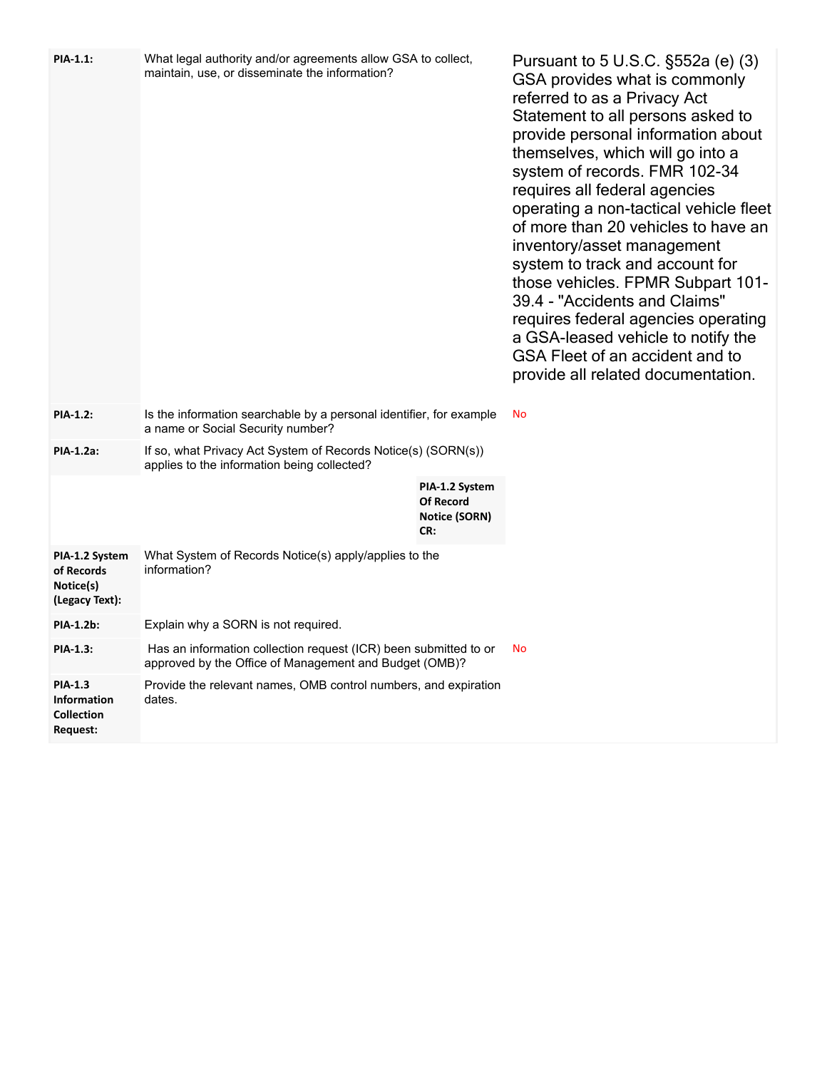| PIA-1.1:                                                       | What legal authority and/or agreements allow GSA to collect,<br>maintain, use, or disseminate the information?             |                                                                   | Pursuant to 5 U.S.C. §552a (e) (3)<br>GSA provides what is commonly<br>referred to as a Privacy Act<br>Statement to all persons asked to<br>provide personal information about<br>themselves, which will go into a<br>system of records. FMR 102-34<br>requires all federal agencies<br>operating a non-tactical vehicle fleet<br>of more than 20 vehicles to have an<br>inventory/asset management<br>system to track and account for<br>those vehicles. FPMR Subpart 101-<br>39.4 - "Accidents and Claims"<br>requires federal agencies operating<br>a GSA-leased vehicle to notify the<br>GSA Fleet of an accident and to<br>provide all related documentation. |
|----------------------------------------------------------------|----------------------------------------------------------------------------------------------------------------------------|-------------------------------------------------------------------|--------------------------------------------------------------------------------------------------------------------------------------------------------------------------------------------------------------------------------------------------------------------------------------------------------------------------------------------------------------------------------------------------------------------------------------------------------------------------------------------------------------------------------------------------------------------------------------------------------------------------------------------------------------------|
| PIA-1.2:                                                       | Is the information searchable by a personal identifier, for example<br>a name or Social Security number?                   |                                                                   | No                                                                                                                                                                                                                                                                                                                                                                                                                                                                                                                                                                                                                                                                 |
| PIA-1.2a:                                                      | If so, what Privacy Act System of Records Notice(s) (SORN(s))<br>applies to the information being collected?               |                                                                   |                                                                                                                                                                                                                                                                                                                                                                                                                                                                                                                                                                                                                                                                    |
|                                                                |                                                                                                                            | PIA-1.2 System<br><b>Of Record</b><br><b>Notice (SORN)</b><br>CR: |                                                                                                                                                                                                                                                                                                                                                                                                                                                                                                                                                                                                                                                                    |
| PIA-1.2 System<br>of Records<br>Notice(s)<br>(Legacy Text):    | What System of Records Notice(s) apply/applies to the<br>information?                                                      |                                                                   |                                                                                                                                                                                                                                                                                                                                                                                                                                                                                                                                                                                                                                                                    |
| PIA-1.2b:                                                      | Explain why a SORN is not required.                                                                                        |                                                                   |                                                                                                                                                                                                                                                                                                                                                                                                                                                                                                                                                                                                                                                                    |
| PIA-1.3:                                                       | Has an information collection request (ICR) been submitted to or<br>approved by the Office of Management and Budget (OMB)? |                                                                   | No                                                                                                                                                                                                                                                                                                                                                                                                                                                                                                                                                                                                                                                                 |
| PIA-1.3<br><b>Information</b><br><b>Collection</b><br>Request: | Provide the relevant names, OMB control numbers, and expiration<br>dates.                                                  |                                                                   |                                                                                                                                                                                                                                                                                                                                                                                                                                                                                                                                                                                                                                                                    |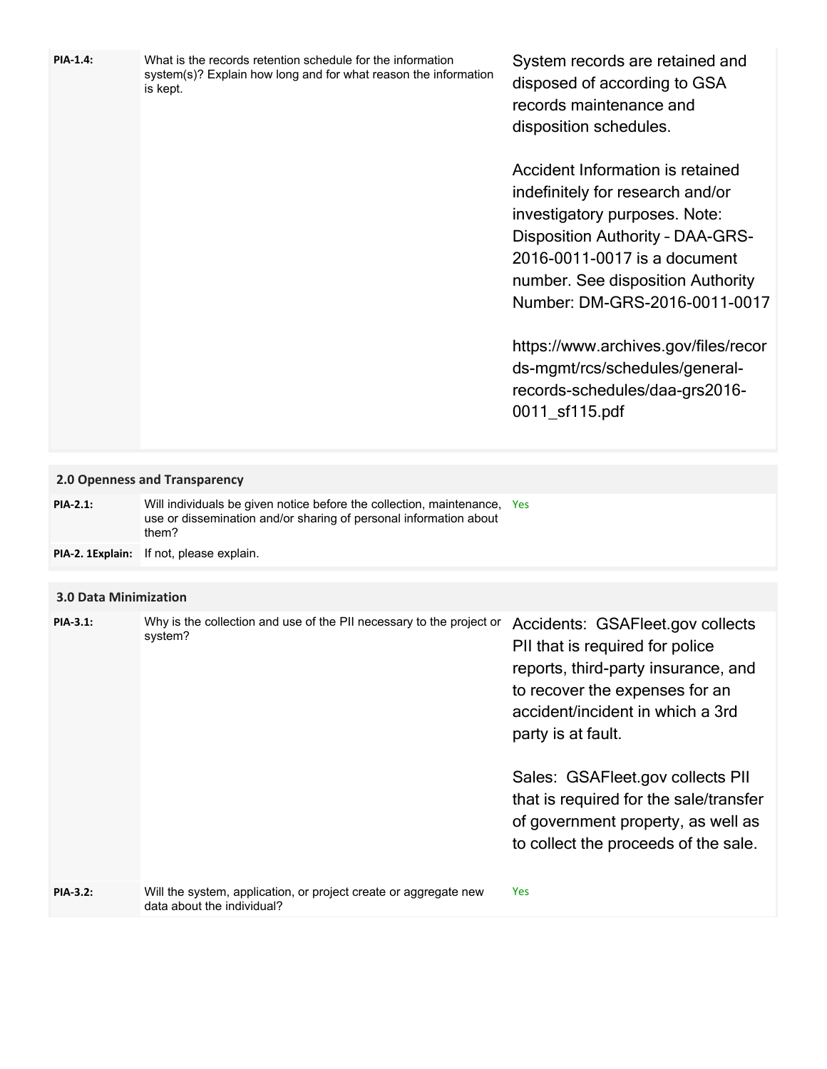| <b>PIA-1.4:</b>              | What is the records retention schedule for the information<br>system(s)? Explain how long and for what reason the information<br>is kept.              | System records are retained and<br>disposed of according to GSA<br>records maintenance and<br>disposition schedules.<br>Accident Information is retained<br>indefinitely for research and/or<br>investigatory purposes. Note:<br><b>Disposition Authority - DAA-GRS-</b><br>2016-0011-0017 is a document<br>number. See disposition Authority<br>Number: DM-GRS-2016-0011-0017<br>https://www.archives.gov/files/recor<br>ds-mgmt/rcs/schedules/general-<br>records-schedules/daa-grs2016-<br>0011_sf115.pdf |
|------------------------------|--------------------------------------------------------------------------------------------------------------------------------------------------------|--------------------------------------------------------------------------------------------------------------------------------------------------------------------------------------------------------------------------------------------------------------------------------------------------------------------------------------------------------------------------------------------------------------------------------------------------------------------------------------------------------------|
|                              | 2.0 Openness and Transparency                                                                                                                          |                                                                                                                                                                                                                                                                                                                                                                                                                                                                                                              |
| <b>PIA-2.1:</b>              | Will individuals be given notice before the collection, maintenance, Yes<br>use or dissemination and/or sharing of personal information about<br>them? |                                                                                                                                                                                                                                                                                                                                                                                                                                                                                                              |
| PIA-2. 1Explain:             | If not, please explain.                                                                                                                                |                                                                                                                                                                                                                                                                                                                                                                                                                                                                                                              |
| <b>3.0 Data Minimization</b> |                                                                                                                                                        |                                                                                                                                                                                                                                                                                                                                                                                                                                                                                                              |
| <b>PIA-3.1:</b>              | Why is the collection and use of the PII necessary to the project or<br>system?                                                                        | Accidents: GSAFleet.gov collects<br>PII that is required for police<br>reports, third-party insurance, and<br>to recover the expenses for an<br>accident/incident in which a 3rd<br>party is at fault.<br>Sales: GSAFleet.gov collects PII<br>that is required for the sale/transfer                                                                                                                                                                                                                         |
| <b>PIA-3.2:</b>              | Will the system, application, or project create or aggregate new                                                                                       | of government property, as well as<br>to collect the proceeds of the sale.<br>Yes                                                                                                                                                                                                                                                                                                                                                                                                                            |
|                              | data about the individual?                                                                                                                             |                                                                                                                                                                                                                                                                                                                                                                                                                                                                                                              |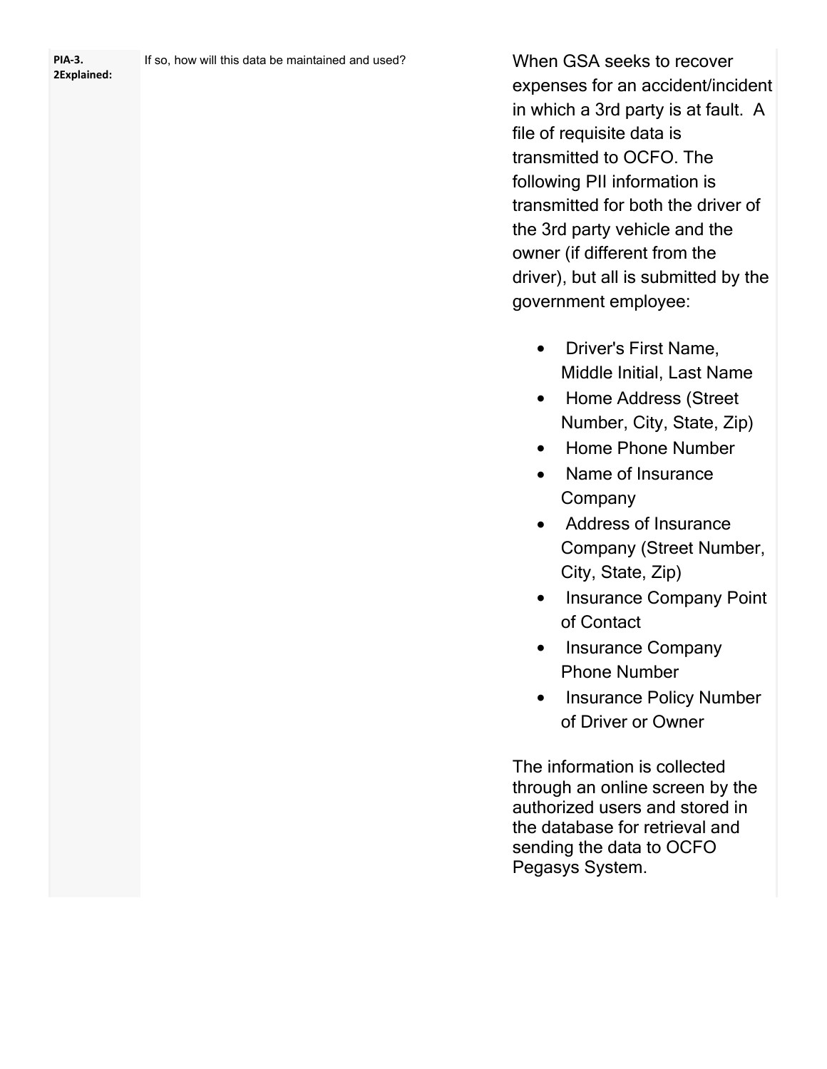**2Explained:**

When GSA seeks to recover expenses for an accident/incident in which a 3rd party is at fault. A file of requisite data is transmitted to OCFO. The following PII information is transmitted for both the driver of the 3rd party vehicle and the owner (if different from the driver), but all is submitted by the government employee:

- · Driver's First Name, Middle Initial, Last Name
- · Home Address (Street Number, City, State, Zip)
- · Home Phone Number
- · Name of Insurance **Company**
- · Address of Insurance Company (Street Number, City, State, Zip)
- · Insurance Company Point of Contact
- Insurance Company Phone Number
- · Insurance Policy Number of Driver or Owner

The information is collected through an online screen by the authorized users and stored in the database for retrieval and sending the data to OCFO Pegasys System.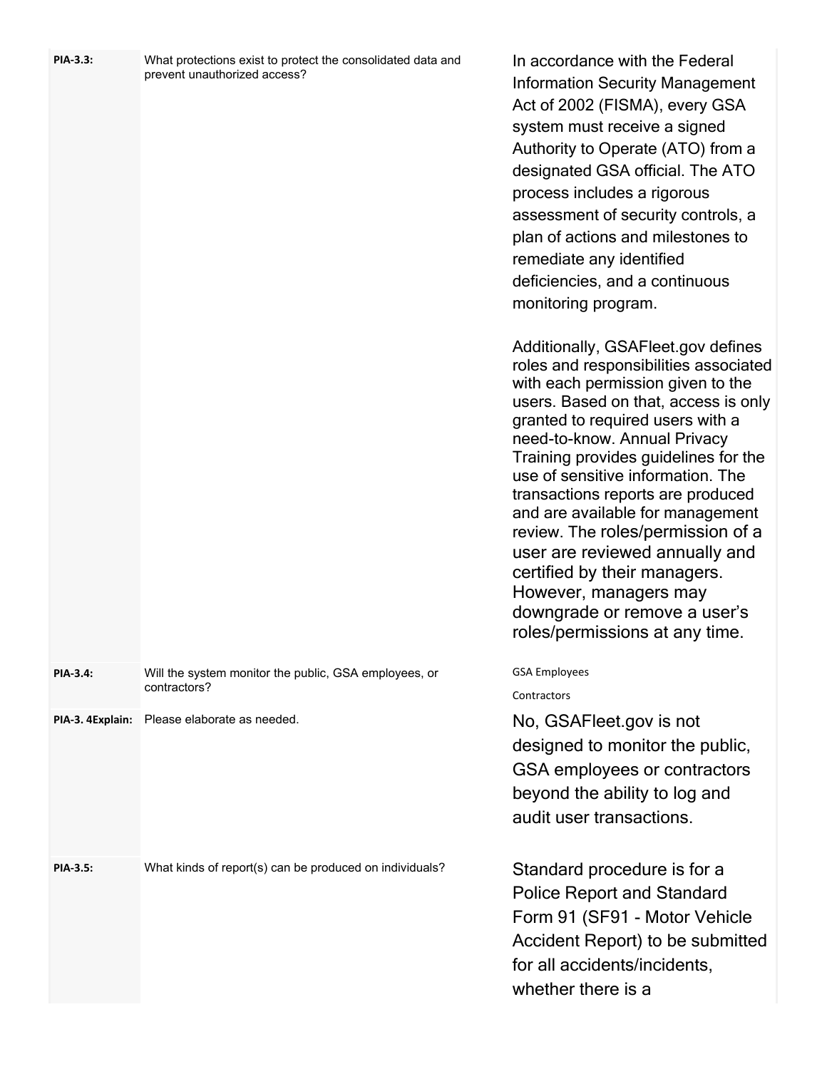| PIA-3.3:         | What protections exist to protect the consolidated data and<br>prevent unauthorized access? | In accordance with the Federal<br><b>Information Security Management</b><br>Act of 2002 (FISMA), every GSA<br>system must receive a signed<br>Authority to Operate (ATO) from a<br>designated GSA official. The ATO<br>process includes a rigorous<br>assessment of security controls, a<br>plan of actions and milestones to<br>remediate any identified<br>deficiencies, and a continuous<br>monitoring program.<br>Additionally, GSAFleet.gov defines<br>roles and responsibilities associated<br>with each permission given to the<br>users. Based on that, access is only<br>granted to required users with a<br>need-to-know. Annual Privacy<br>Training provides guidelines for the<br>use of sensitive information. The<br>transactions reports are produced<br>and are available for management<br>review. The roles/permission of a<br>user are reviewed annually and<br>certified by their managers.<br>However, managers may<br>downgrade or remove a user's<br>roles/permissions at any time. |
|------------------|---------------------------------------------------------------------------------------------|------------------------------------------------------------------------------------------------------------------------------------------------------------------------------------------------------------------------------------------------------------------------------------------------------------------------------------------------------------------------------------------------------------------------------------------------------------------------------------------------------------------------------------------------------------------------------------------------------------------------------------------------------------------------------------------------------------------------------------------------------------------------------------------------------------------------------------------------------------------------------------------------------------------------------------------------------------------------------------------------------------|
| <b>PIA-3.4:</b>  | Will the system monitor the public, GSA employees, or<br>contractors?                       | <b>GSA Employees</b>                                                                                                                                                                                                                                                                                                                                                                                                                                                                                                                                                                                                                                                                                                                                                                                                                                                                                                                                                                                       |
| PIA-3. 4Explain: | Please elaborate as needed.                                                                 | Contractors<br>No, GSAFleet.gov is not                                                                                                                                                                                                                                                                                                                                                                                                                                                                                                                                                                                                                                                                                                                                                                                                                                                                                                                                                                     |
|                  |                                                                                             | designed to monitor the public,<br>GSA employees or contractors<br>beyond the ability to log and<br>audit user transactions.                                                                                                                                                                                                                                                                                                                                                                                                                                                                                                                                                                                                                                                                                                                                                                                                                                                                               |
| PIA-3.5:         | What kinds of report(s) can be produced on individuals?                                     | Standard procedure is for a<br><b>Police Report and Standard</b><br>Form 91 (SF91 - Motor Vehicle<br>Accident Report) to be submitted<br>for all accidents/incidents,<br>whether there is a                                                                                                                                                                                                                                                                                                                                                                                                                                                                                                                                                                                                                                                                                                                                                                                                                |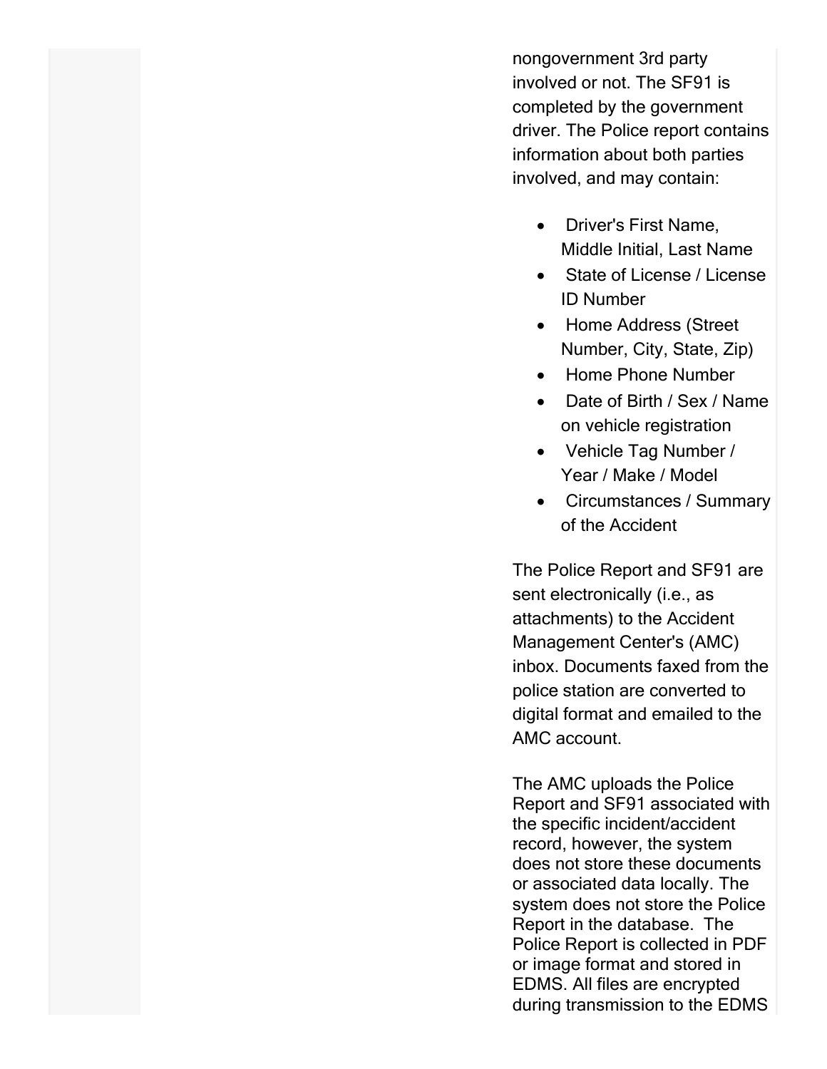nongovernment 3rd party involved or not. The SF91 is completed by the government driver. The Police report contains information about both parties involved, and may contain:

- · Driver's First Name, Middle Initial, Last Name
- · State of License / License ID Number
- · Home Address (Street Number, City, State, Zip)
- · Home Phone Number
- · Date of Birth / Sex / Name on vehicle registration
- · Vehicle Tag Number / Year / Make / Model
- · Circumstances / Summary of the Accident

The Police Report and SF91 are sent electronically (i.e., as attachments) to the Accident Management Center's (AMC) inbox. Documents faxed from the police station are converted to digital format and emailed to the AMC account.

The AMC uploads the Police Report and SF91 associated with the specific incident/accident record, however, the system does not store these documents or associated data locally. The system does not store the Police Report in the database. The Police Report is collected in PDF or image format and stored in EDMS. All files are encrypted during transmission to the EDMS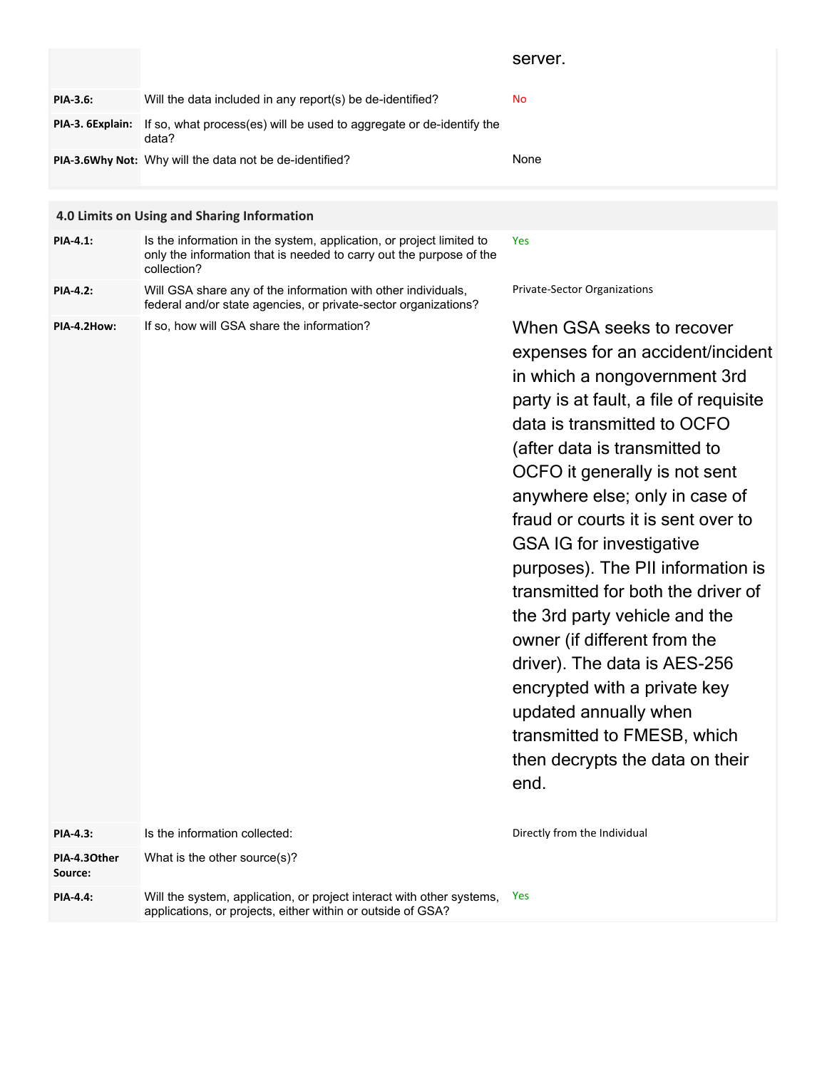|                                             |                                                                                                       | server.   |
|---------------------------------------------|-------------------------------------------------------------------------------------------------------|-----------|
| <b>PIA-3.6:</b>                             | Will the data included in any report(s) be de-identified?                                             | <b>No</b> |
|                                             | <b>PIA-3. 6Explain:</b> If so, what process(es) will be used to aggregate or de-identify the<br>data? |           |
|                                             | PIA-3.6Why Not: Why will the data not be de-identified?                                               | None      |
|                                             |                                                                                                       |           |
| 4.0 Limits on Using and Sharing Information |                                                                                                       |           |

| <b>PIA-4.1:</b> | Is the information in the system, application, or project limited to<br>only the information that is needed to carry out the purpose of the<br>collection? | Yes                                 |
|-----------------|------------------------------------------------------------------------------------------------------------------------------------------------------------|-------------------------------------|
| <b>PIA-4.2:</b> | Will GSA share any of the information with other individuals,<br>federal and/or state agencies, or private-sector organizations?                           | <b>Private-Sector Organizations</b> |

**PIA-4.2How:** If so, how will GSA share the information?

When GSA seeks to recover expenses for an accident/incident in which a nongovernment 3rd party is at fault, a file of requisite data is transmitted to OCFO (after data is transmitted to OCFO it generally is not sent anywhere else; only in case of fraud or courts it is sent over to GSA IG for investigative purposes). The PII information is transmitted for both the driver of the 3rd party vehicle and the owner (if different from the driver). The data is AES-256 encrypted with a private key updated annually when transmitted to FMESB, which then decrypts the data on their end.

| <b>PIA-4.3:</b>         | Is the information collected:                                                                                                        | Directly from the Individual |
|-------------------------|--------------------------------------------------------------------------------------------------------------------------------------|------------------------------|
| PIA-4.30ther<br>Source: | What is the other source(s)?                                                                                                         |                              |
| <b>PIA-4.4:</b>         | Will the system, application, or project interact with other systems,<br>applications, or projects, either within or outside of GSA? | - Yes                        |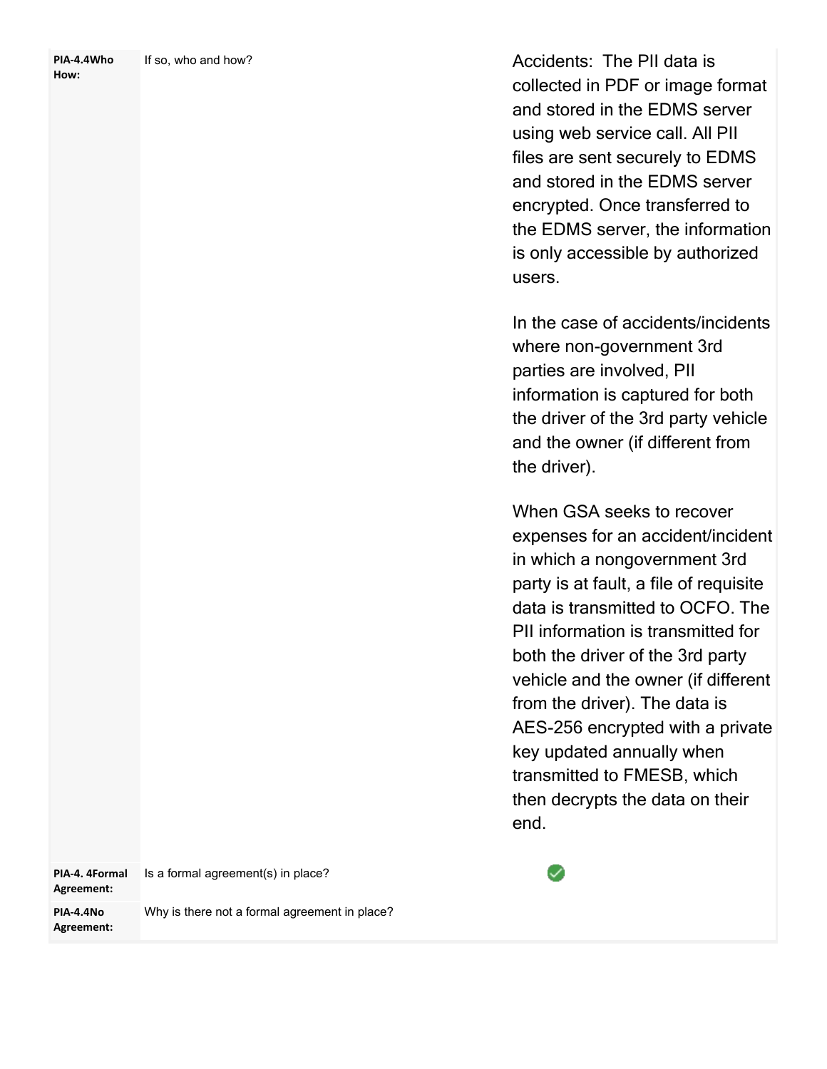| PIA-4.4Who | If so, who and how? |
|------------|---------------------|
| How:       |                     |

Accidents: The PII data is collected in PDF or image format and stored in the EDMS server using web service call. All PII files are sent securely to EDMS and stored in the EDMS server encrypted. Once transferred to the EDMS server, the information is only accessible by authorized users.

In the case of accidents/incidents where non-government 3rd parties are involved, PII information is captured for both the driver of the 3rd party vehicle and the owner (if different from the driver).

When GSA seeks to recover expenses for an accident/incident in which a nongovernment 3rd party is at fault, a file of requisite data is transmitted to OCFO. The PII information is transmitted for both the driver of the 3rd party vehicle and the owner (if different from the driver). The data is AES-256 encrypted with a private key updated annually when transmitted to FMESB, which then decrypts the data on their end.

| PIA-4. 4Formal<br>Agreement: | Is a formal agreement(s) in place?            |
|------------------------------|-----------------------------------------------|
| PIA-4.4No<br>Agreement:      | Why is there not a formal agreement in place? |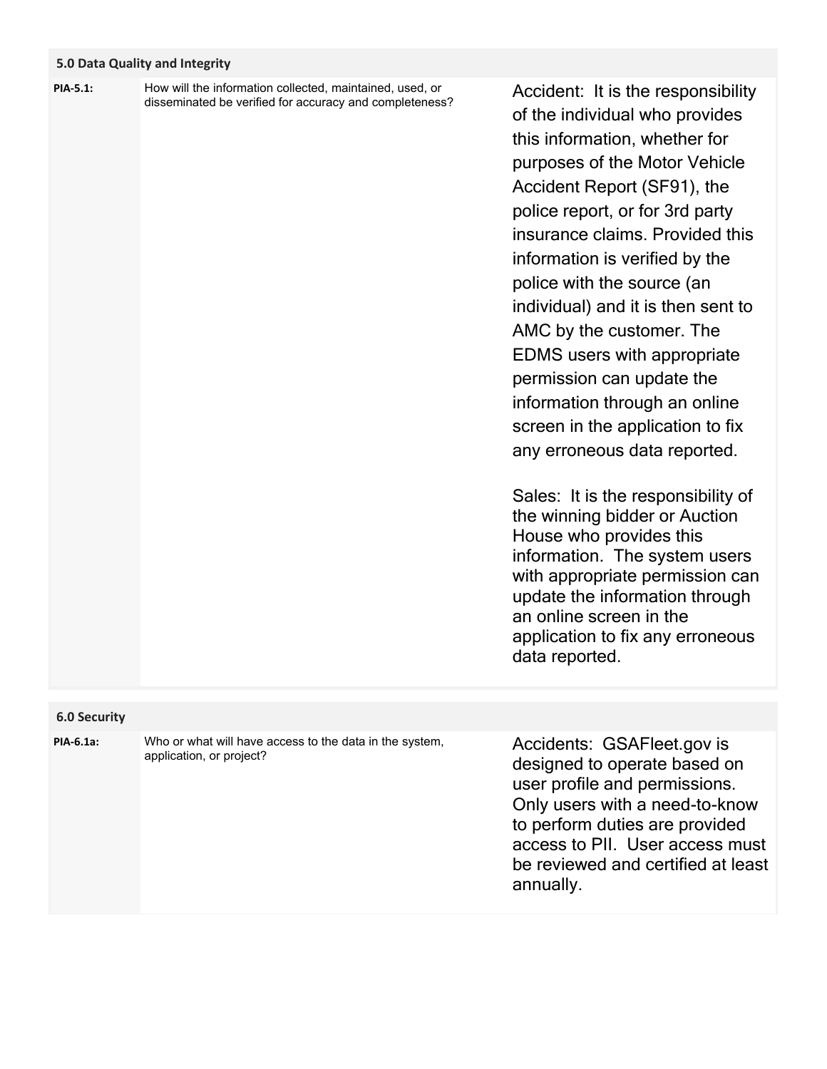# **5.0 Data Quality and Integrity**

How will the information collected, maintained, used, or disseminated be verified for accuracy and completeness? **PIA-5.1:**

Accident: It is the responsibility of the individual who provides this information, whether for purposes of the Motor Vehicle Accident Report (SF91), the police report, or for 3rd party insurance claims. Provided this information is verified by the police with the source (an individual) and it is then sent to AMC by the customer. The EDMS users with appropriate permission can update the information through an online screen in the application to fix any erroneous data reported.

Sales: It is the responsibility of the winning bidder or Auction House who provides this information. The system users with appropriate permission can update the information through an online screen in the application to fix any erroneous data reported.

## **6.0 Security**

**PIA-6.1a:**

Who or what will have access to the data in the system, application, or project?

Accidents: GSAFleet.gov is designed to operate based on user profile and permissions. Only users with a need-to-know to perform duties are provided access to PII. User access must be reviewed and certified at least annually.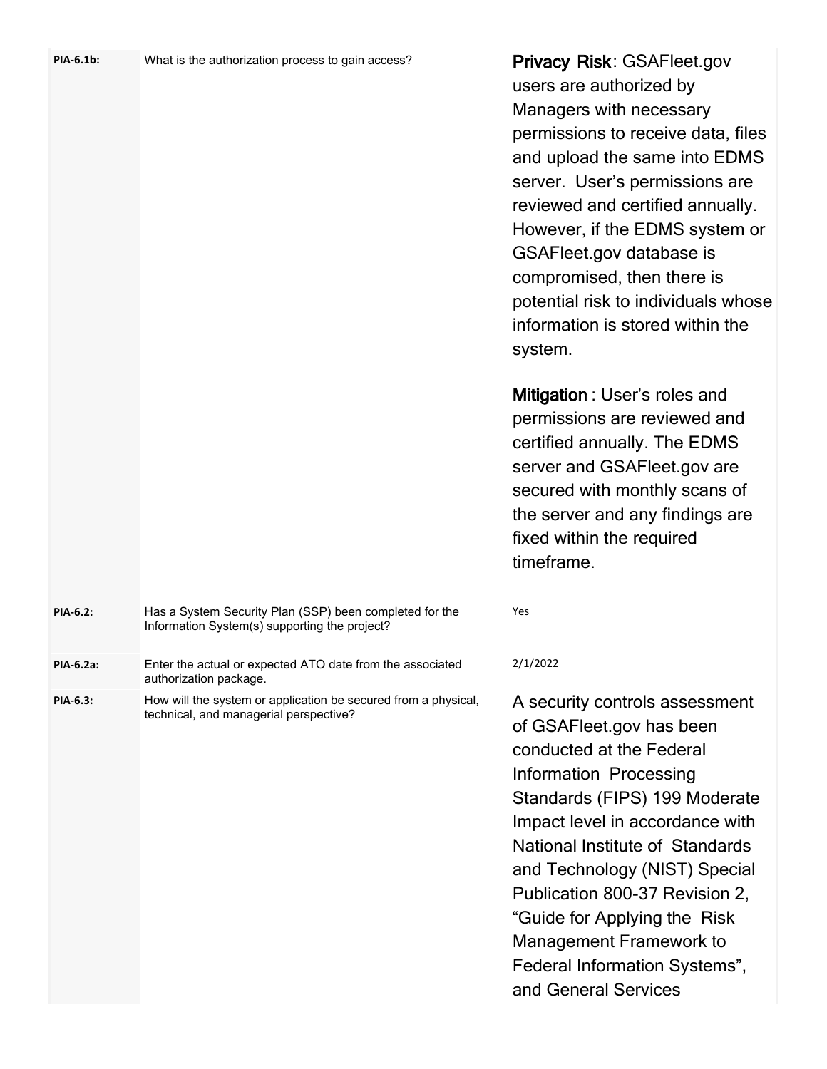| PIA-6.1b: | What is the authorization process to gain access? |  |
|-----------|---------------------------------------------------|--|
|-----------|---------------------------------------------------|--|

**Privacy Risk**: GSAFleet.gov users are authorized by Managers with necessary permissions to receive data, files and upload the same into EDMS server. User's permissions are reviewed and certified annually. However, if the EDMS system or GSAFleet.gov database is compromised, then there is potential risk to individuals whose information is stored within the system.

**Mitigation** : User's roles and permissions are reviewed and certified annually. The EDMS server and GSAFleet.gov are secured with monthly scans of the server and any findings are fixed within the required timeframe.

| <b>PIA-6.2:</b>  | Has a System Security Plan (SSP) been completed for the<br>Information System(s) supporting the project? | Yes      |
|------------------|----------------------------------------------------------------------------------------------------------|----------|
| <b>PIA-6.2a:</b> | Enter the actual or expected ATO date from the associated                                                | 2/1/2022 |

technical, and managerial perspective?

authorization package.

**PIA-6.3:**

How will the system or application be secured from a physical,

A security controls assessment of GSAFleet.gov has been conducted at the Federal Information Processing Standards (FIPS) 199 Moderate Impact level in accordance with National Institute of Standards and Technology (NIST) Special Publication 800-37 Revision 2, "Guide for Applying the Risk Management Framework to Federal Information Systems", and General Services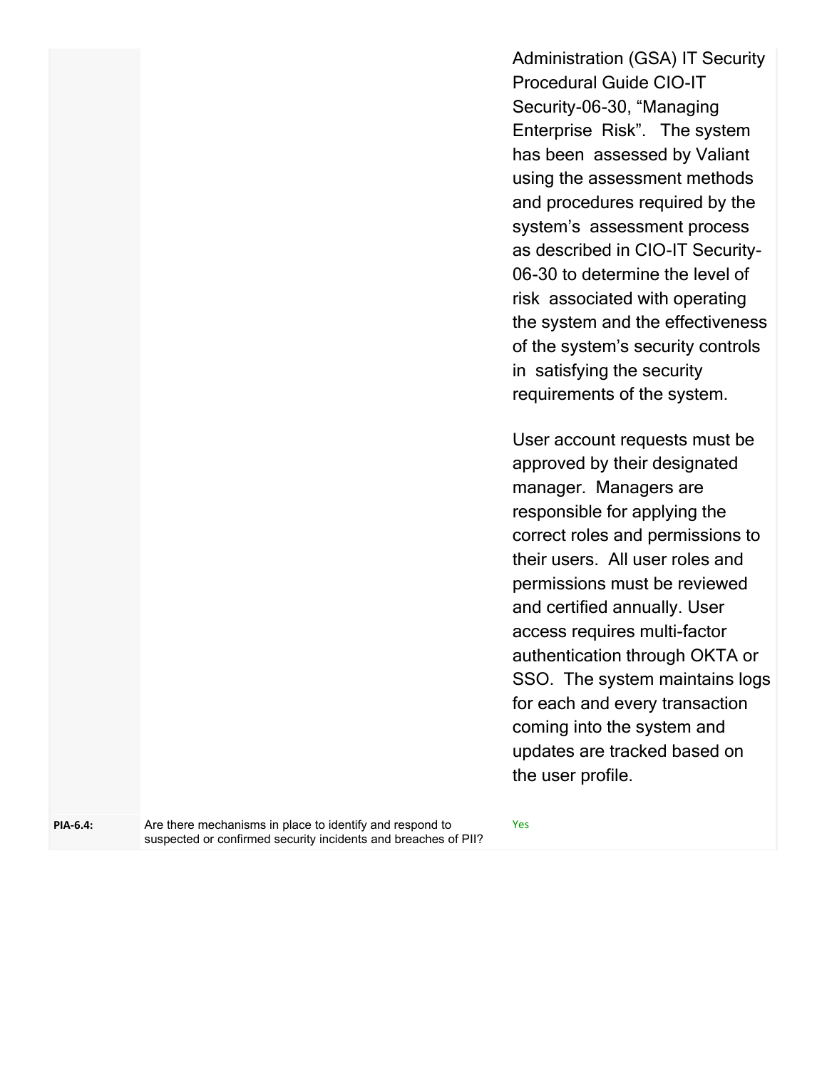Administration (GSA) IT Security Procedural Guide CIO-IT Security-06-30, "Managing Enterprise Risk". The system has been assessed by Valiant using the assessment methods and procedures required by the system's assessment process as described in CIO-IT Security-06-30 to determine the level of risk associated with operating the system and the effectiveness of the system's security controls in satisfying the security requirements of the system.

User account requests must be approved by their designated manager. Managers are responsible for applying the correct roles and permissions to their users. All user roles and permissions must be reviewed and certified annually. User access requires multi-factor authentication through OKTA or SSO. The system maintains logs for each and every transaction coming into the system and updates are tracked based on the user profile.

**PIA-6.4:**

Are there mechanisms in place to identify and respond to Yes suspected or confirmed security incidents and breaches of PII?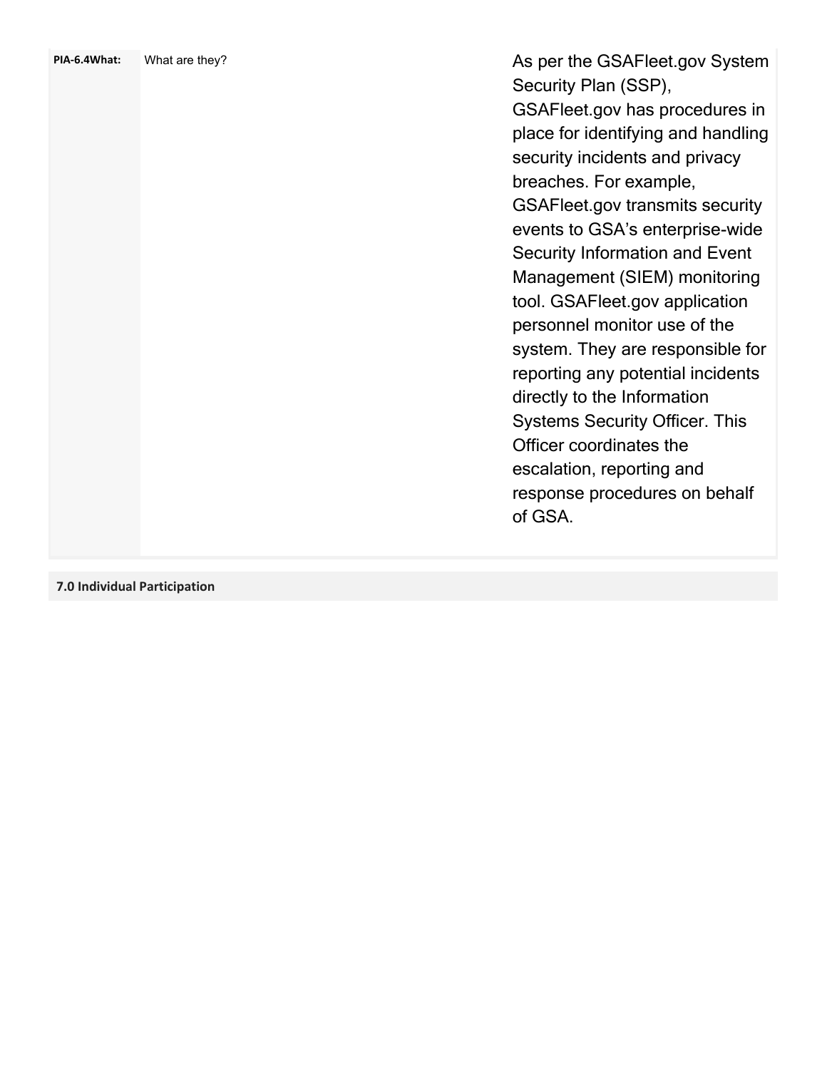As per the GSAFleet.gov System Security Plan (SSP), GSAFleet.gov has procedures in place for identifying and handling security incidents and privacy breaches. For example, GSAFleet.gov transmits security events to GSA's enterprise -wide Security Information and Event Management (SIEM) monitoring tool. GSAFleet.gov application personnel monitor use of the system. They are responsible for reporting any potential incidents directly to the Information Systems Security Officer. This Officer coordinates the escalation, reporting and response procedures on behalf of GSA.

**7.0 Individual Participation**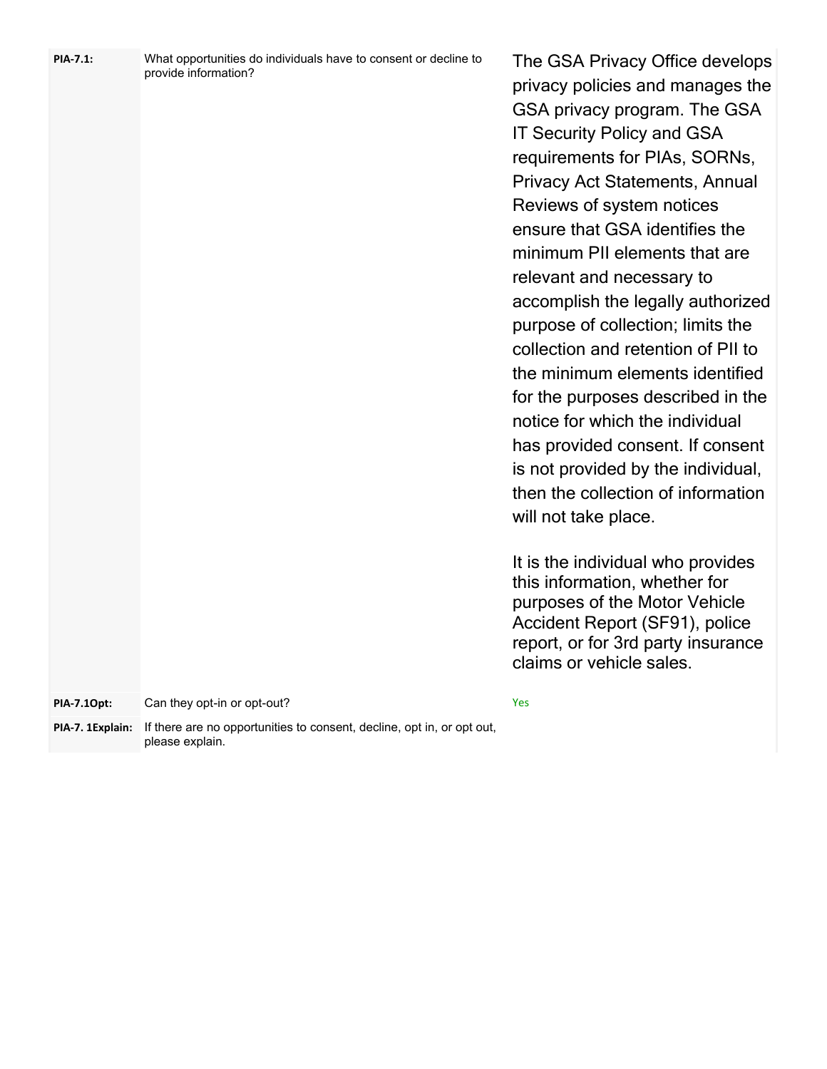| PIA-7.1:         | What opportunities do individuals have to consent or decline to<br>provide information? | The GSA Privacy Office develops<br>privacy policies and manages the<br>GSA privacy program. The GSA<br><b>IT Security Policy and GSA</b><br>requirements for PIAs, SORNs,<br><b>Privacy Act Statements, Annual</b><br>Reviews of system notices<br>ensure that GSA identifies the<br>minimum PII elements that are<br>relevant and necessary to<br>accomplish the legally authorized<br>purpose of collection; limits the<br>collection and retention of PII to<br>the minimum elements identified<br>for the purposes described in the<br>notice for which the individual<br>has provided consent. If consent<br>is not provided by the individual,<br>then the collection of information<br>will not take place.<br>It is the individual who provides<br>this information, whether for<br>purposes of the Motor Vehicle<br>Accident Report (SF91), police<br>report, or for 3rd party insurance<br>claims or vehicle sales. |
|------------------|-----------------------------------------------------------------------------------------|-------------------------------------------------------------------------------------------------------------------------------------------------------------------------------------------------------------------------------------------------------------------------------------------------------------------------------------------------------------------------------------------------------------------------------------------------------------------------------------------------------------------------------------------------------------------------------------------------------------------------------------------------------------------------------------------------------------------------------------------------------------------------------------------------------------------------------------------------------------------------------------------------------------------------------|
| PIA-7.10pt:      | Can they opt-in or opt-out?                                                             | Yes                                                                                                                                                                                                                                                                                                                                                                                                                                                                                                                                                                                                                                                                                                                                                                                                                                                                                                                           |
| PIA-7. 1Explain: | If there are no opportunities to consent, decline, opt in, or opt out,                  |                                                                                                                                                                                                                                                                                                                                                                                                                                                                                                                                                                                                                                                                                                                                                                                                                                                                                                                               |
|                  | please explain.                                                                         |                                                                                                                                                                                                                                                                                                                                                                                                                                                                                                                                                                                                                                                                                                                                                                                                                                                                                                                               |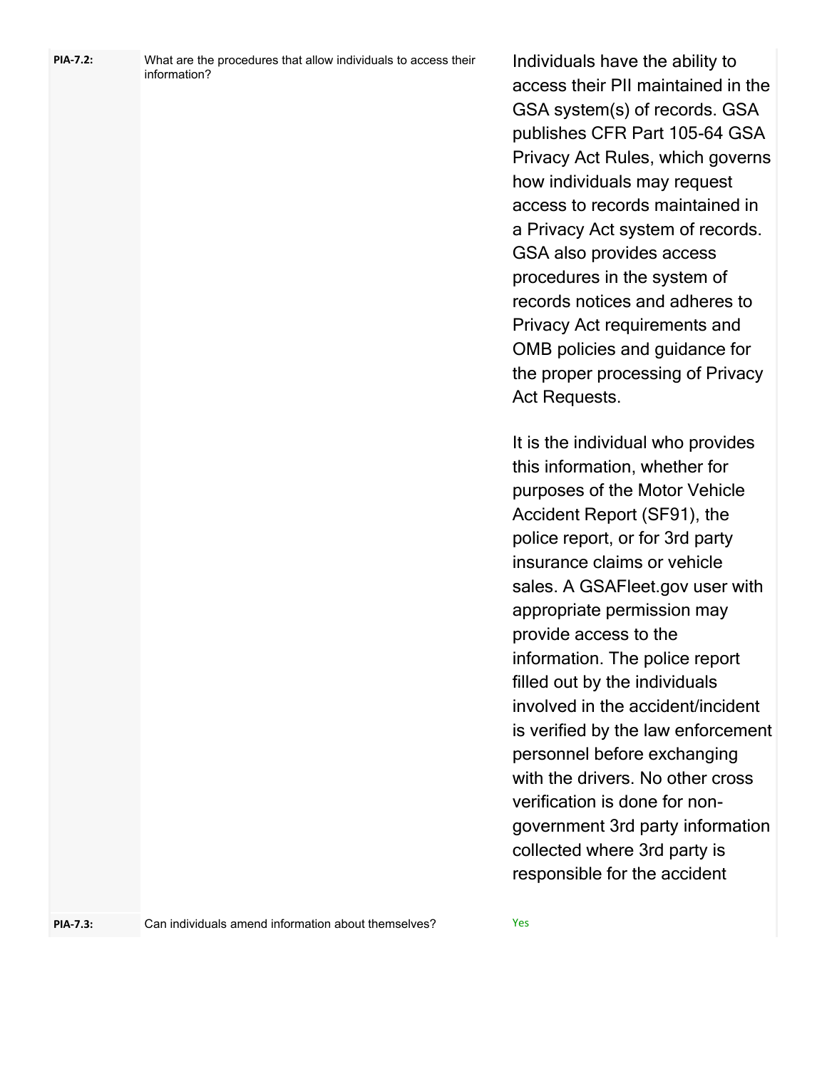| PIA-7.2: | What are the procedures that allow individuals to access their |
|----------|----------------------------------------------------------------|
|          | information?                                                   |

Individuals have the ability to access their PII maintained in the GSA system(s) of records. GSA publishes CFR Part 105-64 GSA Privacy Act Rules, which governs how individuals may request access to records maintained in a Privacy Act system of records. GSA also provides access procedures in the system of records notices and adheres to Privacy Act requirements and OMB policies and guidance for the proper processing of Privacy Act Requests.

It is the individual who provides this information, whether for purposes of the Motor Vehicle Accident Report (SF91), the police report, or for 3rd party insurance claims or vehicle sales. A GSAFleet.gov user with appropriate permission may provide access to the information. The police report filled out by the individuals involved in the accident/incident is verified by the law enforcement personnel before exchanging with the drivers. No other cross verification is done for nongovernment 3rd party information collected where 3rd party is responsible for the accident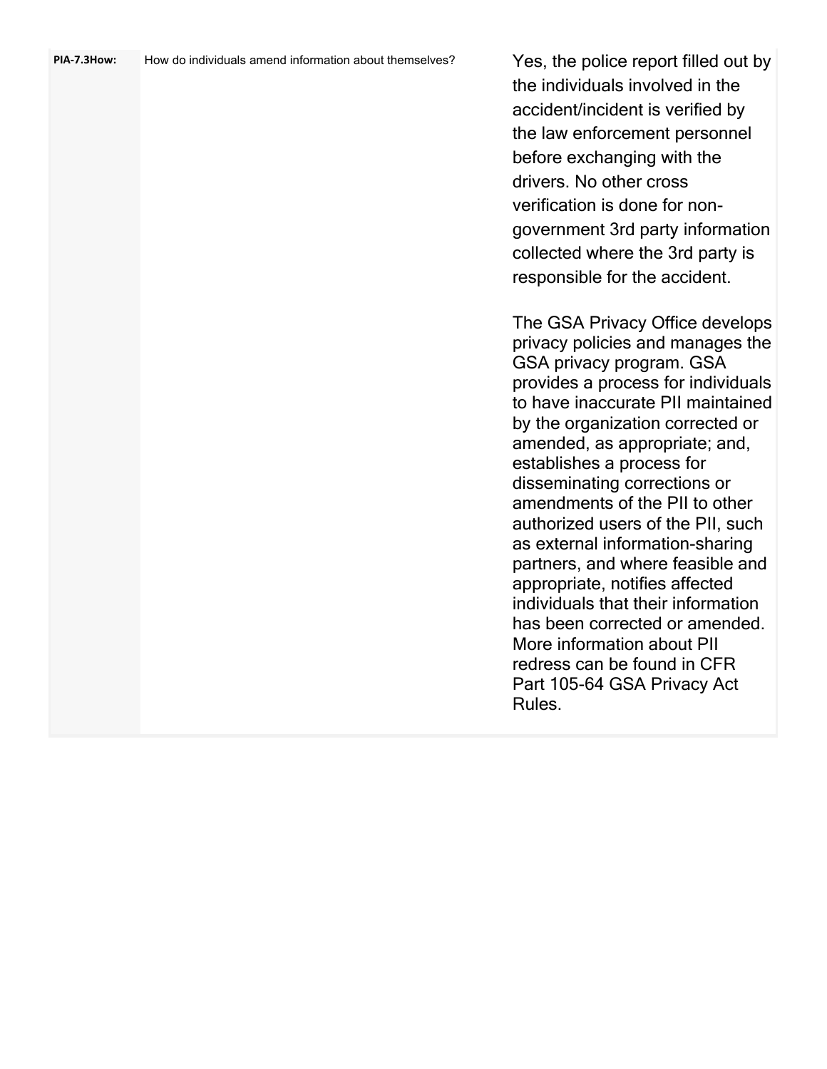| PIA-7.3How: | How do individuals amend information about themselves? | Yes, the police report filled out by<br>the individuals involved in the<br>accident/incident is verified by<br>the law enforcement personnel<br>before exchanging with the<br>drivers. No other cross<br>verification is done for non-<br>government 3rd party information<br>collected where the 3rd party is<br>responsible for the accident.                                                                                                                                                                                                                                                                                                                            |
|-------------|--------------------------------------------------------|----------------------------------------------------------------------------------------------------------------------------------------------------------------------------------------------------------------------------------------------------------------------------------------------------------------------------------------------------------------------------------------------------------------------------------------------------------------------------------------------------------------------------------------------------------------------------------------------------------------------------------------------------------------------------|
|             |                                                        | The GSA Privacy Office develops<br>privacy policies and manages the<br>GSA privacy program. GSA<br>provides a process for individuals<br>to have inaccurate PII maintained<br>by the organization corrected or<br>amended, as appropriate; and,<br>establishes a process for<br>disseminating corrections or<br>amendments of the PII to other<br>authorized users of the PII, such<br>as external information-sharing<br>partners, and where feasible and<br>appropriate, notifies affected<br>individuals that their information<br>has been corrected or amended.<br>More information about PII<br>redress can be found in CFR<br>Part 105-64 GSA Privacy Act<br>Rules. |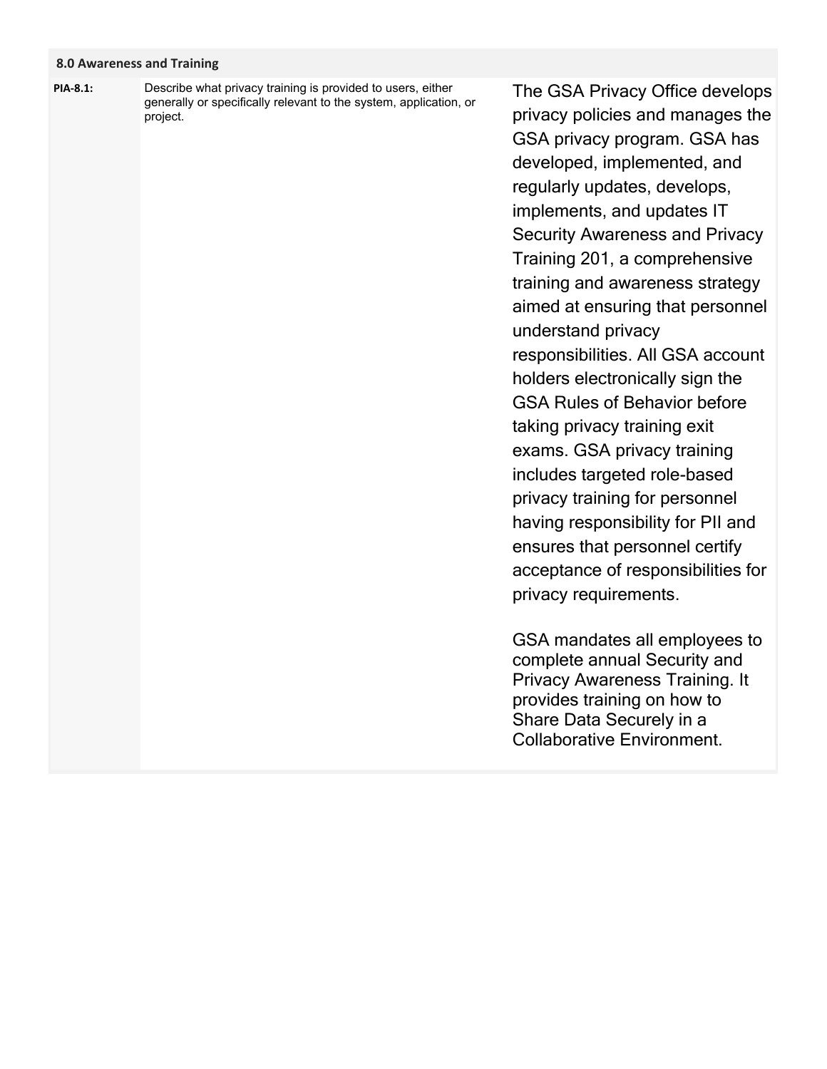## **8.0 Awareness and Training**

Describe what privacy training is provided to users, either generally or specifically relevant to the system, application, or project. **PIA-8.1:**

The GSA Privacy Office develops privacy policies and manages the GSA privacy program. GSA has developed, implemented, and regularly updates, develops, implements, and updates IT Security Awareness and Privacy Training 201, a comprehensive training and awareness strategy aimed at ensuring that personnel understand privacy responsibilities. All GSA account holders electronically sign the GSA Rules of Behavior before taking privacy training exit exams. GSA privacy training includes targeted role-based privacy training for personnel having responsibility for PII and ensures that personnel certify acceptance of responsibilities for privacy requirements.

GSA mandates all employees to complete annual Security and Privacy Awareness Training. It provides training on how to Share Data Securely in a Collaborative Environment.